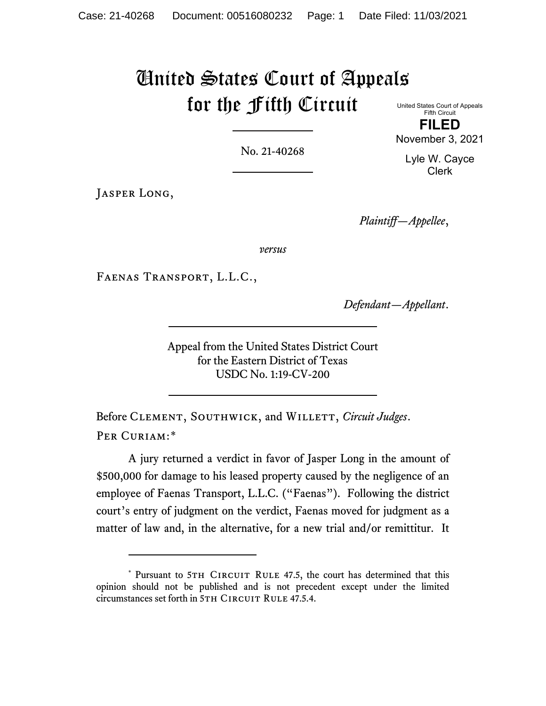# United States Court of Appeals for the Fifth Circuit

United States Court of Appeals Fifth Circuit **FILED**

No. 21-40268

Lyle W. Cayce Clerk

November 3, 2021

JASPER LONG,

*Plaintiff—Appellee*,

*versus*

Faenas Transport, L.L.C.,

*Defendant—Appellant*.

Appeal from the United States District Court for the Eastern District of Texas USDC No. 1:19-CV-200

Before CLEMENT, SOUTHWICK, and WILLETT, *Circuit Judges*. PER CURIAM:[\\*](#page-0-0)

A jury returned a verdict in favor of Jasper Long in the amount of \$500,000 for damage to his leased property caused by the negligence of an employee of Faenas Transport, L.L.C. ("Faenas"). Following the district court's entry of judgment on the verdict, Faenas moved for judgment as a matter of law and, in the alternative, for a new trial and/or remittitur. It

<span id="page-0-0"></span><sup>\*</sup> Pursuant to 5TH CIRCUIT RULE 47.5, the court has determined that this opinion should not be published and is not precedent except under the limited circumstances set forth in 5TH CIRCUIT RULE 47.5.4.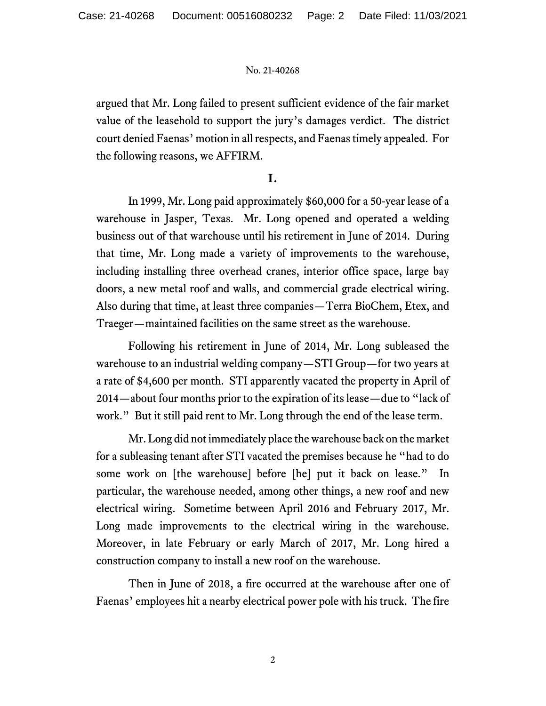argued that Mr. Long failed to present sufficient evidence of the fair market value of the leasehold to support the jury's damages verdict. The district court denied Faenas' motion in all respects, and Faenas timely appealed. For the following reasons, we AFFIRM.

## **I.**

In 1999, Mr. Long paid approximately \$60,000 for a 50-year lease of a warehouse in Jasper, Texas. Mr. Long opened and operated a welding business out of that warehouse until his retirement in June of 2014. During that time, Mr. Long made a variety of improvements to the warehouse, including installing three overhead cranes, interior office space, large bay doors, a new metal roof and walls, and commercial grade electrical wiring. Also during that time, at least three companies—Terra BioChem, Etex, and Traeger—maintained facilities on the same street as the warehouse.

Following his retirement in June of 2014, Mr. Long subleased the warehouse to an industrial welding company—STI Group—for two years at a rate of \$4,600 per month. STI apparently vacated the property in April of 2014—about four months prior to the expiration of its lease—due to "lack of work." But it still paid rent to Mr. Long through the end of the lease term.

Mr. Long did not immediately place the warehouse back on the market for a subleasing tenant after STI vacated the premises because he "had to do some work on [the warehouse] before [he] put it back on lease." In particular, the warehouse needed, among other things, a new roof and new electrical wiring. Sometime between April 2016 and February 2017, Mr. Long made improvements to the electrical wiring in the warehouse. Moreover, in late February or early March of 2017, Mr. Long hired a construction company to install a new roof on the warehouse.

Then in June of 2018, a fire occurred at the warehouse after one of Faenas' employees hit a nearby electrical power pole with his truck. The fire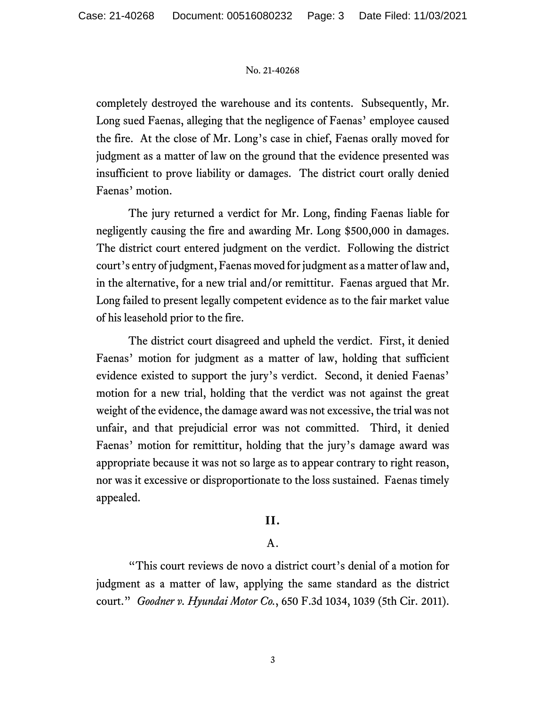completely destroyed the warehouse and its contents. Subsequently, Mr. Long sued Faenas, alleging that the negligence of Faenas' employee caused the fire. At the close of Mr. Long's case in chief, Faenas orally moved for judgment as a matter of law on the ground that the evidence presented was insufficient to prove liability or damages. The district court orally denied Faenas' motion.

The jury returned a verdict for Mr. Long, finding Faenas liable for negligently causing the fire and awarding Mr. Long \$500,000 in damages. The district court entered judgment on the verdict. Following the district court's entry of judgment, Faenas moved for judgment as a matter of lawand, in the alternative, for a new trial and/or remittitur. Faenas argued that Mr. Long failed to present legally competent evidence as to the fair market value of his leasehold prior to the fire.

The district court disagreed and upheld the verdict. First, it denied Faenas' motion for judgment as a matter of law, holding that sufficient evidence existed to support the jury's verdict. Second, it denied Faenas' motion for a new trial, holding that the verdict was not against the great weight of the evidence, the damage award was not excessive, the trial was not unfair, and that prejudicial error was not committed. Third, it denied Faenas' motion for remittitur, holding that the jury's damage award was appropriate because it was not so large as to appear contrary to right reason, nor was it excessive or disproportionate to the loss sustained. Faenas timely appealed.

## **II.**

## A.

"This court reviews de novo a district court's denial of a motion for judgment as a matter of law, applying the same standard as the district court." *Goodner v. Hyundai Motor Co.*, 650 F.3d 1034, 1039 (5th Cir. 2011).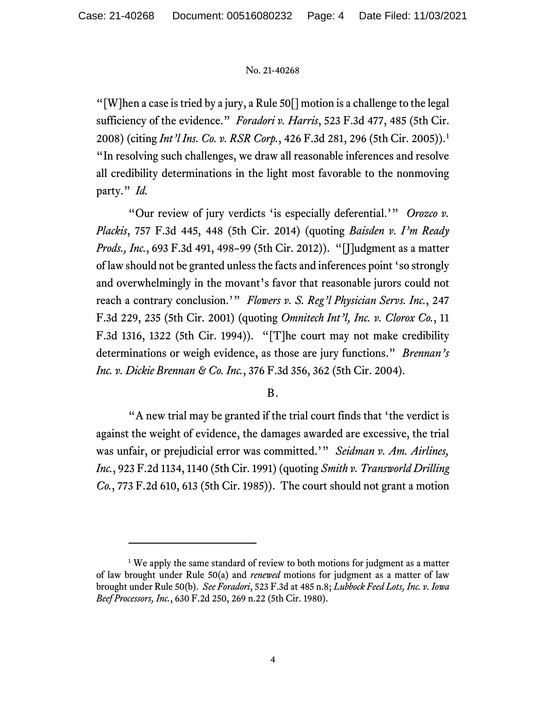"[W]hen a case is tried by a jury, a Rule 50[] motion is a challenge to the legal sufficiency of the evidence." *Foradori v. Harris*, 523 F.3d 477, 485 (5th Cir. 2008) (citing *Int'l Ins. Co. v. RSR Corp.*, 426 F.3d 281, 296 (5th Cir. 2005)).[1](#page-3-0) "In resolving such challenges, we draw all reasonable inferences and resolve all credibility determinations in the light most favorable to the nonmoving party." *Id.*

"Our review of jury verdicts 'is especially deferential.'" *Orozco v. Plackis*, 757 F.3d 445, 448 (5th Cir. 2014) (quoting *Baisden v. I'm Ready Prods., Inc.*, 693 F.3d 491, 498–99 (5th Cir. 2012)). "[J]udgment as a matter of law should not be granted unless the facts and inferences point 'so strongly and overwhelmingly in the movant's favor that reasonable jurors could not reach a contrary conclusion.'" *Flowers v. S. Reg'l Physician Servs. Inc.*, 247 F.3d 229, 235 (5th Cir. 2001) (quoting *Omnitech Int'l, Inc. v. Clorox Co.*, 11 F.3d 1316, 1322 (5th Cir. 1994)). "[T]he court may not make credibility determinations or weigh evidence, as those are jury functions." *Brennan's Inc. v. Dickie Brennan & Co. Inc.*, 376 F.3d 356, 362 (5th Cir. 2004).

## B.

"A new trial may be granted if the trial court finds that 'the verdict is against the weight of evidence, the damages awarded are excessive, the trial was unfair, or prejudicial error was committed.'" *Seidman v. Am. Airlines, Inc.*, 923 F.2d 1134, 1140 (5th Cir. 1991) (quoting *Smith v. Transworld Drilling Co.*, 773 F.2d 610, 613 (5th Cir. 1985)). The court should not grant a motion

<span id="page-3-0"></span><sup>&</sup>lt;sup>1</sup> We apply the same standard of review to both motions for judgment as a matter of law brought under Rule 50(a) and *renewed* motions for judgment as a matter of law brought under Rule 50(b). *See Foradori*, 523 F.3d at 485 n.8; *Lubbock Feed Lots, Inc. v. Iowa Beef Processors, Inc.*, 630 F.2d 250, 269 n.22 (5th Cir. 1980).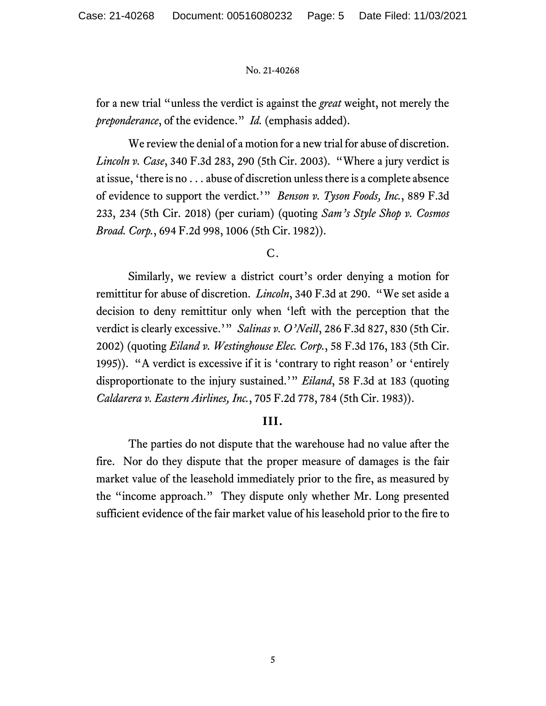for a new trial "unless the verdict is against the *great* weight, not merely the *preponderance*, of the evidence." *Id.* (emphasis added).

We review the denial of a motion for a new trial for abuse of discretion. *Lincoln v. Case*, 340 F.3d 283, 290 (5th Cir. 2003). "Where a jury verdict is at issue, 'there is no . . . abuse of discretion unless there is a complete absence of evidence to support the verdict.'" *Benson v. Tyson Foods, Inc.*, 889 F.3d 233, 234 (5th Cir. 2018) (per curiam) (quoting *Sam's Style Shop v. Cosmos Broad. Corp.*, 694 F.2d 998, 1006 (5th Cir. 1982)).

C.

Similarly, we review a district court's order denying a motion for remittitur for abuse of discretion. *Lincoln*, 340 F.3d at 290. "We set aside a decision to deny remittitur only when 'left with the perception that the verdict is clearly excessive.'" *Salinas v. O'Neill*, 286 F.3d 827, 830 (5th Cir. 2002) (quoting *Eiland v. Westinghouse Elec. Corp.*, 58 F.3d 176, 183 (5th Cir. 1995)). "A verdict is excessive if it is 'contrary to right reason' or 'entirely disproportionate to the injury sustained.'" *Eiland*, 58 F.3d at 183 (quoting *Caldarera v. Eastern Airlines, Inc.*, 705 F.2d 778, 784 (5th Cir. 1983)).

## **III.**

The parties do not dispute that the warehouse had no value after the fire. Nor do they dispute that the proper measure of damages is the fair market value of the leasehold immediately prior to the fire, as measured by the "income approach." They dispute only whether Mr. Long presented sufficient evidence of the fair market value of his leasehold prior to the fire to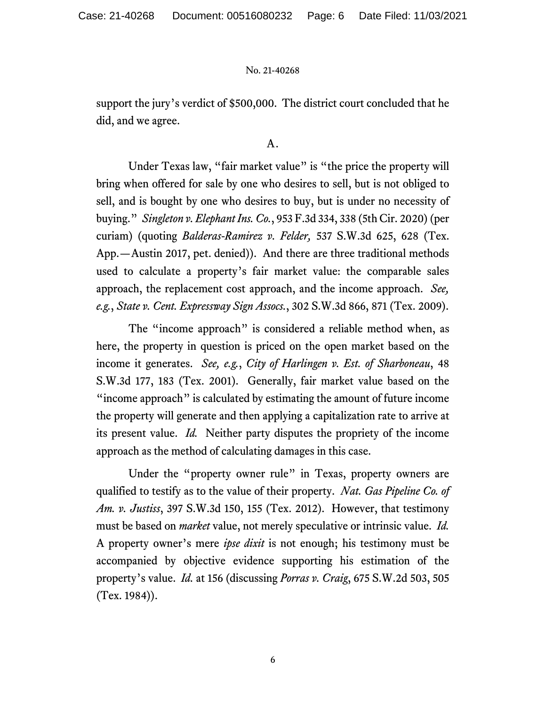support the jury's verdict of \$500,000. The district court concluded that he did, and we agree.

## A.

Under Texas law, "fair market value" is "the price the property will bring when offered for sale by one who desires to sell, but is not obliged to sell, and is bought by one who desires to buy, but is under no necessity of buying." *Singleton v. Elephant Ins. Co.*, 953 F.3d 334, 338 (5th Cir. 2020) (per curiam) (quoting *Balderas-Ramirez v. Felder,* 537 S.W.3d 625, 628 (Tex. App.—Austin 2017, pet. denied)). And there are three traditional methods used to calculate a property's fair market value: the comparable sales approach, the replacement cost approach, and the income approach. *See, e.g.*, *State v. Cent. Expressway Sign Assocs.*, 302 S.W.3d 866, 871 (Tex. 2009).

The "income approach" is considered a reliable method when, as here, the property in question is priced on the open market based on the income it generates. *See, e.g.*, *City of Harlingen v. Est. of Sharboneau*, 48 S.W.3d 177, 183 (Tex. 2001). Generally, fair market value based on the "income approach" is calculated by estimating the amount of future income the property will generate and then applying a capitalization rate to arrive at its present value. *Id.* Neither party disputes the propriety of the income approach as the method of calculating damages in this case.

Under the "property owner rule" in Texas, property owners are qualified to testify as to the value of their property. *Nat. Gas Pipeline Co. of Am. v. Justiss*, 397 S.W.3d 150, 155 (Tex. 2012). However, that testimony must be based on *market* value, not merely speculative or intrinsic value. *Id.* A property owner's mere *ipse dixit* is not enough; his testimony must be accompanied by objective evidence supporting his estimation of the property's value. *Id.* at 156 (discussing *Porras v. Craig*, 675 S.W.2d 503, 505 (Tex. 1984)).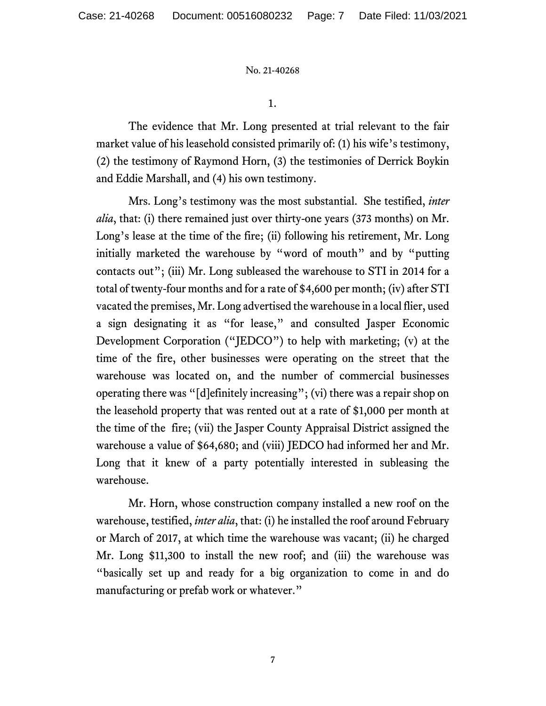1.

The evidence that Mr. Long presented at trial relevant to the fair market value of his leasehold consisted primarily of: (1) his wife's testimony, (2) the testimony of Raymond Horn, (3) the testimonies of Derrick Boykin and Eddie Marshall, and (4) his own testimony.

Mrs. Long's testimony was the most substantial. She testified, *inter alia*, that: (i) there remained just over thirty-one years (373 months) on Mr. Long's lease at the time of the fire; (ii) following his retirement, Mr. Long initially marketed the warehouse by "word of mouth" and by "putting contacts out"; (iii) Mr. Long subleased the warehouse to STI in 2014 for a total of twenty-four months and for a rate of \$4,600 per month; (iv) after STI vacated the premises, Mr. Long advertised the warehouse in a local flier, used a sign designating it as "for lease," and consulted Jasper Economic Development Corporation ("JEDCO") to help with marketing; (v) at the time of the fire, other businesses were operating on the street that the warehouse was located on, and the number of commercial businesses operating there was "[d]efinitely increasing"; (vi) there was a repair shop on the leasehold property that was rented out at a rate of \$1,000 per month at the time of the fire; (vii) the Jasper County Appraisal District assigned the warehouse a value of \$64,680; and (viii) JEDCO had informed her and Mr. Long that it knew of a party potentially interested in subleasing the warehouse.

Mr. Horn, whose construction company installed a new roof on the warehouse, testified, *inter alia*, that: (i) he installed the roof around February or March of 2017, at which time the warehouse was vacant; (ii) he charged Mr. Long \$11,300 to install the new roof; and (iii) the warehouse was "basically set up and ready for a big organization to come in and do manufacturing or prefab work or whatever."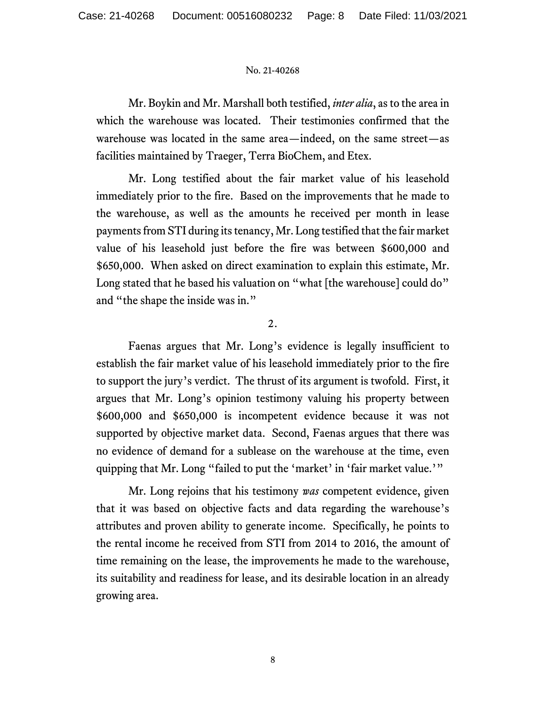Mr. Boykin and Mr. Marshall both testified, *inter alia*, as to the area in which the warehouse was located. Their testimonies confirmed that the warehouse was located in the same area—indeed, on the same street—as facilities maintained by Traeger, Terra BioChem, and Etex.

Mr. Long testified about the fair market value of his leasehold immediately prior to the fire. Based on the improvements that he made to the warehouse, as well as the amounts he received per month in lease payments from STI during its tenancy, Mr. Long testified that the fair market value of his leasehold just before the fire was between \$600,000 and \$650,000. When asked on direct examination to explain this estimate, Mr. Long stated that he based his valuation on "what [the warehouse] could do" and "the shape the inside was in."

## 2.

Faenas argues that Mr. Long's evidence is legally insufficient to establish the fair market value of his leasehold immediately prior to the fire to support the jury's verdict. The thrust of its argument is twofold. First, it argues that Mr. Long's opinion testimony valuing his property between \$600,000 and \$650,000 is incompetent evidence because it was not supported by objective market data. Second, Faenas argues that there was no evidence of demand for a sublease on the warehouse at the time, even quipping that Mr. Long "failed to put the 'market' in 'fair market value.'"

Mr. Long rejoins that his testimony *was* competent evidence, given that it was based on objective facts and data regarding the warehouse's attributes and proven ability to generate income. Specifically, he points to the rental income he received from STI from 2014 to 2016, the amount of time remaining on the lease, the improvements he made to the warehouse, its suitability and readiness for lease, and its desirable location in an already growing area.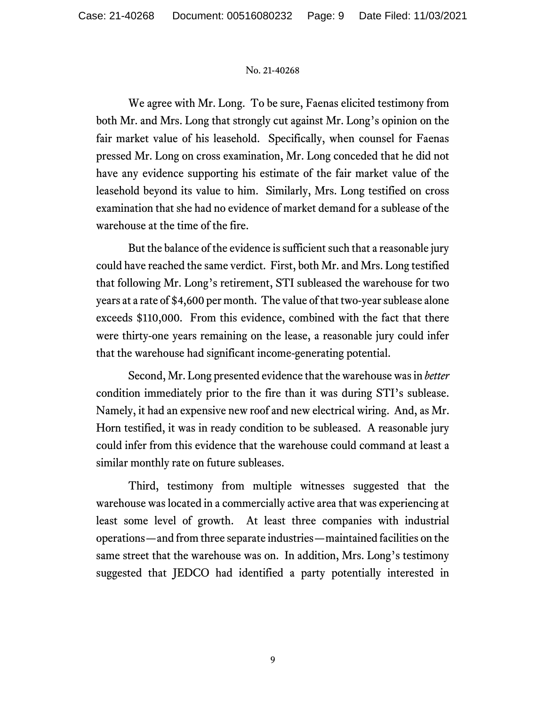We agree with Mr. Long. To be sure, Faenas elicited testimony from both Mr. and Mrs. Long that strongly cut against Mr. Long's opinion on the fair market value of his leasehold. Specifically, when counsel for Faenas pressed Mr. Long on cross examination, Mr. Long conceded that he did not have any evidence supporting his estimate of the fair market value of the leasehold beyond its value to him. Similarly, Mrs. Long testified on cross examination that she had no evidence of market demand for a sublease of the warehouse at the time of the fire.

But the balance of the evidence is sufficient such that a reasonable jury could have reached the same verdict. First, both Mr. and Mrs. Long testified that following Mr. Long's retirement, STI subleased the warehouse for two years at a rate of \$4,600 per month. The value of that two-year sublease alone exceeds \$110,000. From this evidence, combined with the fact that there were thirty-one years remaining on the lease, a reasonable jury could infer that the warehouse had significant income-generating potential.

Second, Mr. Long presented evidence that the warehouse was in *better* condition immediately prior to the fire than it was during STI's sublease. Namely, it had an expensive new roof and new electrical wiring. And, as Mr. Horn testified, it was in ready condition to be subleased. A reasonable jury could infer from this evidence that the warehouse could command at least a similar monthly rate on future subleases.

Third, testimony from multiple witnesses suggested that the warehouse was located in a commercially active area that was experiencing at least some level of growth. At least three companies with industrial operations—and from three separate industries—maintained facilities on the same street that the warehouse was on. In addition, Mrs. Long's testimony suggested that JEDCO had identified a party potentially interested in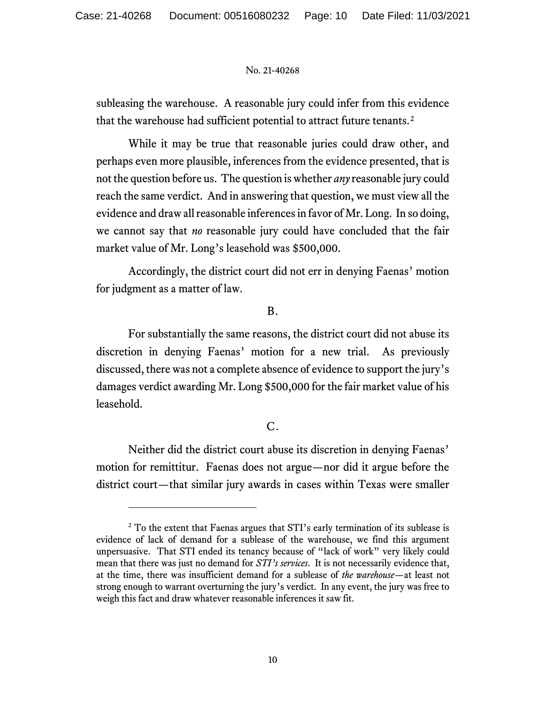subleasing the warehouse. A reasonable jury could infer from this evidence that the warehouse had sufficient potential to attract future tenants.[2](#page-9-0)

While it may be true that reasonable juries could draw other, and perhaps even more plausible, inferences from the evidence presented, that is not the question before us. The question is whether *any* reasonable jury could reach the same verdict. And in answering that question, we must view all the evidence and draw all reasonable inferences in favor of Mr. Long. In so doing, we cannot say that *no* reasonable jury could have concluded that the fair market value of Mr. Long's leasehold was \$500,000.

Accordingly, the district court did not err in denying Faenas' motion for judgment as a matter of law.

## B.

For substantially the same reasons, the district court did not abuse its discretion in denying Faenas' motion for a new trial. As previously discussed, there was not a complete absence of evidence to support the jury's damages verdict awarding Mr. Long \$500,000 for the fair market value of his leasehold.

# C.

Neither did the district court abuse its discretion in denying Faenas' motion for remittitur. Faenas does not argue—nor did it argue before the district court—that similar jury awards in cases within Texas were smaller

<span id="page-9-0"></span><sup>&</sup>lt;sup>2</sup> To the extent that Faenas argues that STI's early termination of its sublease is evidence of lack of demand for a sublease of the warehouse, we find this argument unpersuasive. That STI ended its tenancy because of "lack of work" very likely could mean that there was just no demand for *STI's services*. It is not necessarily evidence that, at the time, there was insufficient demand for a sublease of *the warehouse*—at least not strong enough to warrant overturning the jury's verdict. In any event, the jury was free to weigh this fact and draw whatever reasonable inferences it saw fit.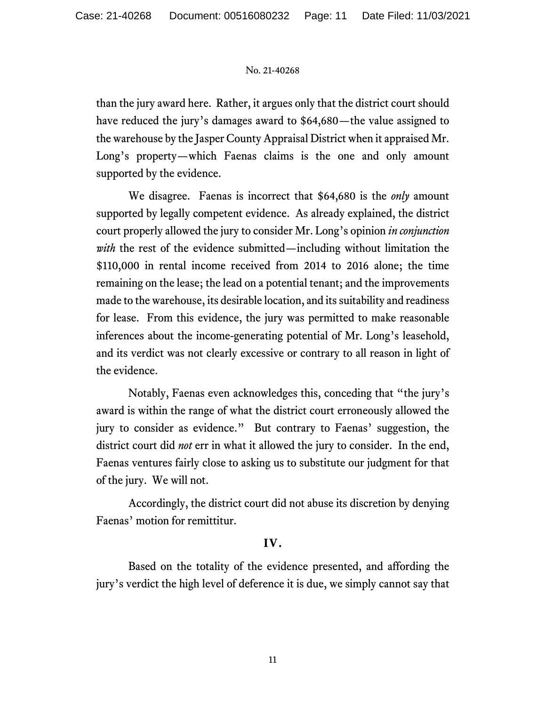than the jury award here. Rather, it argues only that the district court should have reduced the jury's damages award to \$64,680—the value assigned to the warehouse by the Jasper County Appraisal District when it appraised Mr. Long's property—which Faenas claims is the one and only amount supported by the evidence.

We disagree. Faenas is incorrect that \$64,680 is the *only* amount supported by legally competent evidence. As already explained, the district court properly allowed the jury to consider Mr. Long's opinion *in conjunction with* the rest of the evidence submitted—including without limitation the \$110,000 in rental income received from 2014 to 2016 alone; the time remaining on the lease; the lead on a potential tenant; and the improvements made to the warehouse, its desirable location, and its suitability and readiness for lease. From this evidence, the jury was permitted to make reasonable inferences about the income-generating potential of Mr. Long's leasehold, and its verdict was not clearly excessive or contrary to all reason in light of the evidence.

Notably, Faenas even acknowledges this, conceding that "the jury's award is within the range of what the district court erroneously allowed the jury to consider as evidence." But contrary to Faenas' suggestion, the district court did *not* err in what it allowed the jury to consider. In the end, Faenas ventures fairly close to asking us to substitute our judgment for that of the jury. We will not.

Accordingly, the district court did not abuse its discretion by denying Faenas' motion for remittitur.

## **IV.**

Based on the totality of the evidence presented, and affording the jury's verdict the high level of deference it is due, we simply cannot say that